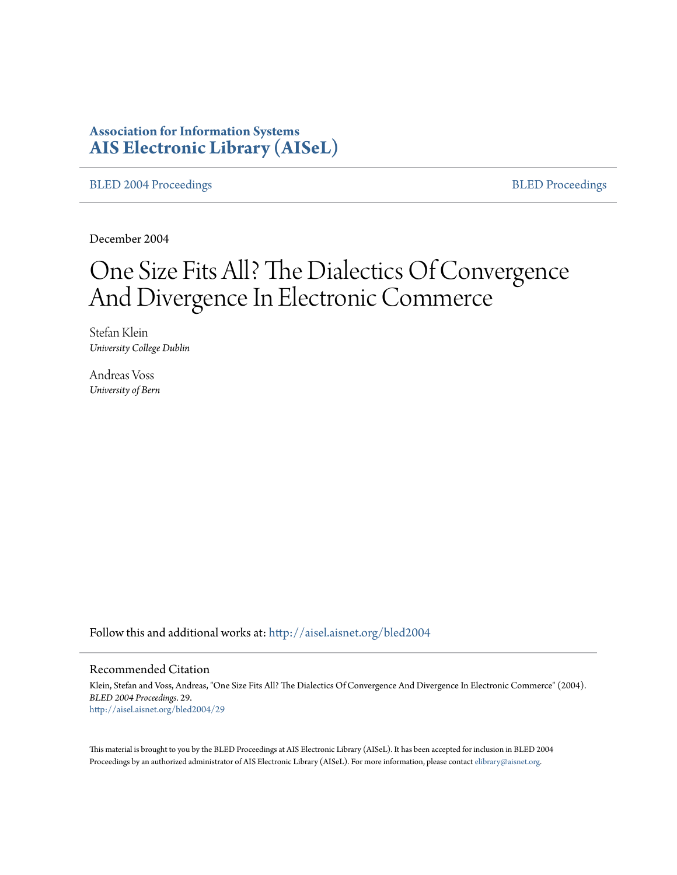# **Association for Information Systems [AIS Electronic Library \(AISeL\)](http://aisel.aisnet.org?utm_source=aisel.aisnet.org%2Fbled2004%2F29&utm_medium=PDF&utm_campaign=PDFCoverPages)**

[BLED 2004 Proceedings](http://aisel.aisnet.org/bled2004?utm_source=aisel.aisnet.org%2Fbled2004%2F29&utm_medium=PDF&utm_campaign=PDFCoverPages) **[BLED Proceedings](http://aisel.aisnet.org/bled?utm_source=aisel.aisnet.org%2Fbled2004%2F29&utm_medium=PDF&utm_campaign=PDFCoverPages)** 

December 2004

# One Size Fits All? The Dialectics Of Convergence And Divergence In Electronic Commerce

Stefan Klein *University College Dublin*

Andreas Voss *University of Bern*

Follow this and additional works at: [http://aisel.aisnet.org/bled2004](http://aisel.aisnet.org/bled2004?utm_source=aisel.aisnet.org%2Fbled2004%2F29&utm_medium=PDF&utm_campaign=PDFCoverPages)

#### Recommended Citation

Klein, Stefan and Voss, Andreas, "One Size Fits All? The Dialectics Of Convergence And Divergence In Electronic Commerce" (2004). *BLED 2004 Proceedings*. 29. [http://aisel.aisnet.org/bled2004/29](http://aisel.aisnet.org/bled2004/29?utm_source=aisel.aisnet.org%2Fbled2004%2F29&utm_medium=PDF&utm_campaign=PDFCoverPages)

This material is brought to you by the BLED Proceedings at AIS Electronic Library (AISeL). It has been accepted for inclusion in BLED 2004 Proceedings by an authorized administrator of AIS Electronic Library (AISeL). For more information, please contact [elibrary@aisnet.org](mailto:elibrary@aisnet.org%3E).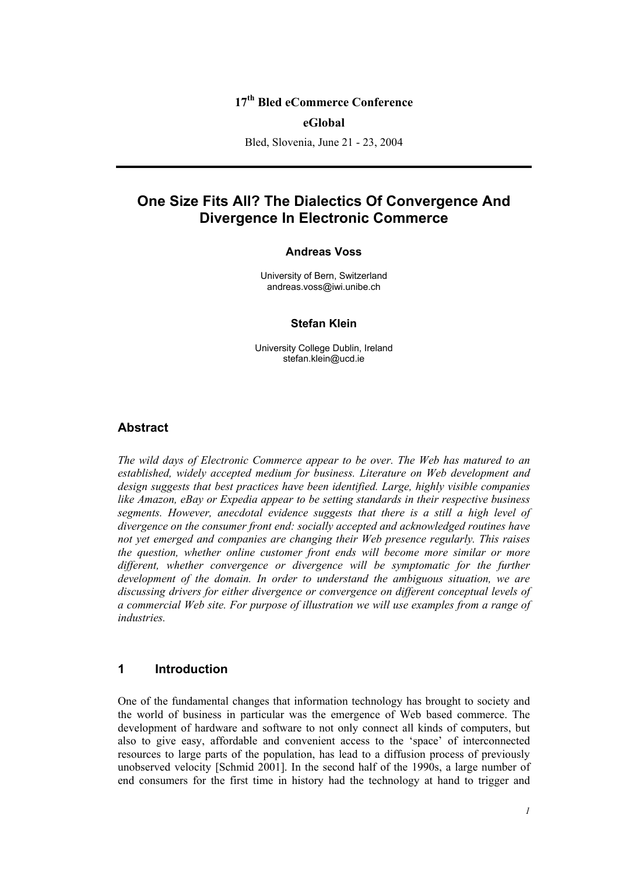## **17th Bled eCommerce Conference**

#### **eGlobal**

Bled, Slovenia, June 21 - 23, 2004

# **One Size Fits All? The Dialectics Of Convergence And Divergence In Electronic Commerce**

#### **Andreas Voss**

University of Bern, Switzerland andreas.voss@iwi.unibe.ch

#### **Stefan Klein**

University College Dublin, Ireland stefan.klein@ucd.ie

#### **Abstract**

*The wild days of Electronic Commerce appear to be over. The Web has matured to an established, widely accepted medium for business. Literature on Web development and design suggests that best practices have been identified. Large, highly visible companies like Amazon, eBay or Expedia appear to be setting standards in their respective business segments. However, anecdotal evidence suggests that there is a still a high level of divergence on the consumer front end: socially accepted and acknowledged routines have not yet emerged and companies are changing their Web presence regularly. This raises the question, whether online customer front ends will become more similar or more different, whether convergence or divergence will be symptomatic for the further development of the domain. In order to understand the ambiguous situation, we are discussing drivers for either divergence or convergence on different conceptual levels of a commercial Web site. For purpose of illustration we will use examples from a range of industries.* 

#### **1 Introduction**

One of the fundamental changes that information technology has brought to society and the world of business in particular was the emergence of Web based commerce. The development of hardware and software to not only connect all kinds of computers, but also to give easy, affordable and convenient access to the 'space' of interconnected resources to large parts of the population, has lead to a diffusion process of previously unobserved velocity [Schmid 2001]. In the second half of the 1990s, a large number of end consumers for the first time in history had the technology at hand to trigger and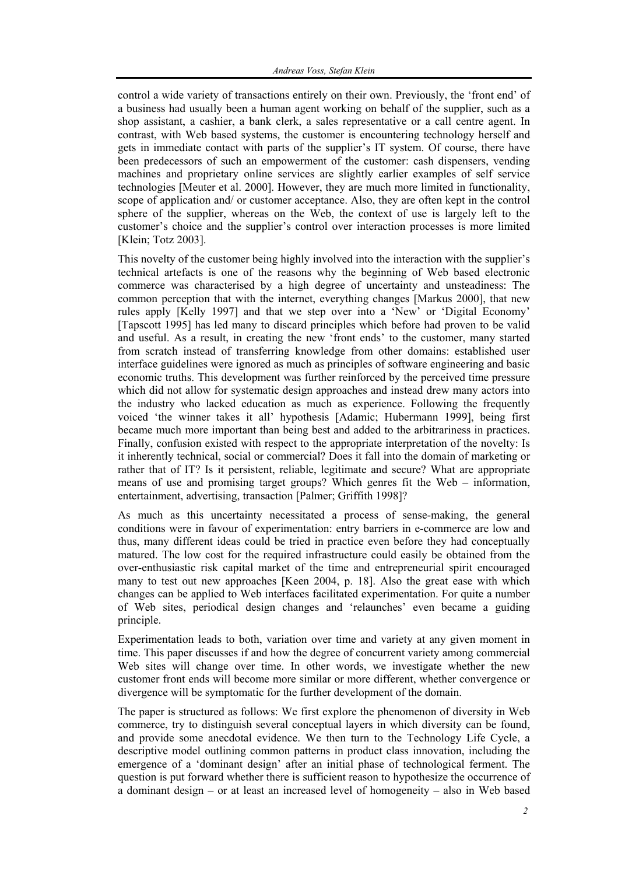control a wide variety of transactions entirely on their own. Previously, the 'front end' of a business had usually been a human agent working on behalf of the supplier, such as a shop assistant, a cashier, a bank clerk, a sales representative or a call centre agent. In contrast, with Web based systems, the customer is encountering technology herself and gets in immediate contact with parts of the supplier's IT system. Of course, there have been predecessors of such an empowerment of the customer: cash dispensers, vending machines and proprietary online services are slightly earlier examples of self service technologies [Meuter et al. 2000]. However, they are much more limited in functionality, scope of application and/ or customer acceptance. Also, they are often kept in the control sphere of the supplier, whereas on the Web, the context of use is largely left to the customer's choice and the supplier's control over interaction processes is more limited [Klein; Totz 2003].

This novelty of the customer being highly involved into the interaction with the supplier's technical artefacts is one of the reasons why the beginning of Web based electronic commerce was characterised by a high degree of uncertainty and unsteadiness: The common perception that with the internet, everything changes [Markus 2000], that new rules apply [Kelly 1997] and that we step over into a 'New' or 'Digital Economy' [Tapscott 1995] has led many to discard principles which before had proven to be valid and useful. As a result, in creating the new 'front ends' to the customer, many started from scratch instead of transferring knowledge from other domains: established user interface guidelines were ignored as much as principles of software engineering and basic economic truths. This development was further reinforced by the perceived time pressure which did not allow for systematic design approaches and instead drew many actors into the industry who lacked education as much as experience. Following the frequently voiced 'the winner takes it all' hypothesis [Adamic; Hubermann 1999], being first became much more important than being best and added to the arbitrariness in practices. Finally, confusion existed with respect to the appropriate interpretation of the novelty: Is it inherently technical, social or commercial? Does it fall into the domain of marketing or rather that of IT? Is it persistent, reliable, legitimate and secure? What are appropriate means of use and promising target groups? Which genres fit the Web – information, entertainment, advertising, transaction [Palmer; Griffith 1998]?

As much as this uncertainty necessitated a process of sense-making, the general conditions were in favour of experimentation: entry barriers in e-commerce are low and thus, many different ideas could be tried in practice even before they had conceptually matured. The low cost for the required infrastructure could easily be obtained from the over-enthusiastic risk capital market of the time and entrepreneurial spirit encouraged many to test out new approaches [Keen 2004, p. 18]. Also the great ease with which changes can be applied to Web interfaces facilitated experimentation. For quite a number of Web sites, periodical design changes and 'relaunches' even became a guiding principle.

Experimentation leads to both, variation over time and variety at any given moment in time. This paper discusses if and how the degree of concurrent variety among commercial Web sites will change over time. In other words, we investigate whether the new customer front ends will become more similar or more different, whether convergence or divergence will be symptomatic for the further development of the domain.

The paper is structured as follows: We first explore the phenomenon of diversity in Web commerce, try to distinguish several conceptual layers in which diversity can be found, and provide some anecdotal evidence. We then turn to the Technology Life Cycle, a descriptive model outlining common patterns in product class innovation, including the emergence of a 'dominant design' after an initial phase of technological ferment. The question is put forward whether there is sufficient reason to hypothesize the occurrence of a dominant design – or at least an increased level of homogeneity – also in Web based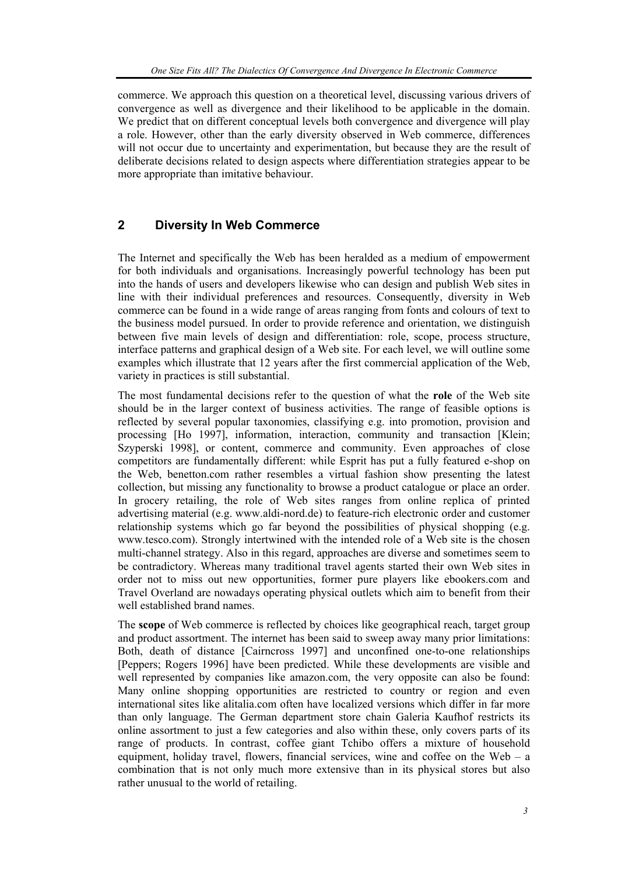commerce. We approach this question on a theoretical level, discussing various drivers of convergence as well as divergence and their likelihood to be applicable in the domain. We predict that on different conceptual levels both convergence and divergence will play a role. However, other than the early diversity observed in Web commerce, differences will not occur due to uncertainty and experimentation, but because they are the result of deliberate decisions related to design aspects where differentiation strategies appear to be more appropriate than imitative behaviour.

### **2 Diversity In Web Commerce**

The Internet and specifically the Web has been heralded as a medium of empowerment for both individuals and organisations. Increasingly powerful technology has been put into the hands of users and developers likewise who can design and publish Web sites in line with their individual preferences and resources. Consequently, diversity in Web commerce can be found in a wide range of areas ranging from fonts and colours of text to the business model pursued. In order to provide reference and orientation, we distinguish between five main levels of design and differentiation: role, scope, process structure, interface patterns and graphical design of a Web site. For each level, we will outline some examples which illustrate that 12 years after the first commercial application of the Web, variety in practices is still substantial.

The most fundamental decisions refer to the question of what the **role** of the Web site should be in the larger context of business activities. The range of feasible options is reflected by several popular taxonomies, classifying e.g. into promotion, provision and processing [Ho 1997], information, interaction, community and transaction [Klein; Szyperski 1998], or content, commerce and community. Even approaches of close competitors are fundamentally different: while Esprit has put a fully featured e-shop on the Web, benetton.com rather resembles a virtual fashion show presenting the latest collection, but missing any functionality to browse a product catalogue or place an order. In grocery retailing, the role of Web sites ranges from online replica of printed advertising material (e.g. www.aldi-nord.de) to feature-rich electronic order and customer relationship systems which go far beyond the possibilities of physical shopping (e.g. www.tesco.com). Strongly intertwined with the intended role of a Web site is the chosen multi-channel strategy. Also in this regard, approaches are diverse and sometimes seem to be contradictory. Whereas many traditional travel agents started their own Web sites in order not to miss out new opportunities, former pure players like ebookers.com and Travel Overland are nowadays operating physical outlets which aim to benefit from their well established brand names.

The **scope** of Web commerce is reflected by choices like geographical reach, target group and product assortment. The internet has been said to sweep away many prior limitations: Both, death of distance [Cairncross 1997] and unconfined one-to-one relationships [Peppers; Rogers 1996] have been predicted. While these developments are visible and well represented by companies like amazon.com, the very opposite can also be found: Many online shopping opportunities are restricted to country or region and even international sites like alitalia.com often have localized versions which differ in far more than only language. The German department store chain Galeria Kaufhof restricts its online assortment to just a few categories and also within these, only covers parts of its range of products. In contrast, coffee giant Tchibo offers a mixture of household equipment, holiday travel, flowers, financial services, wine and coffee on the Web –  $a$ combination that is not only much more extensive than in its physical stores but also rather unusual to the world of retailing.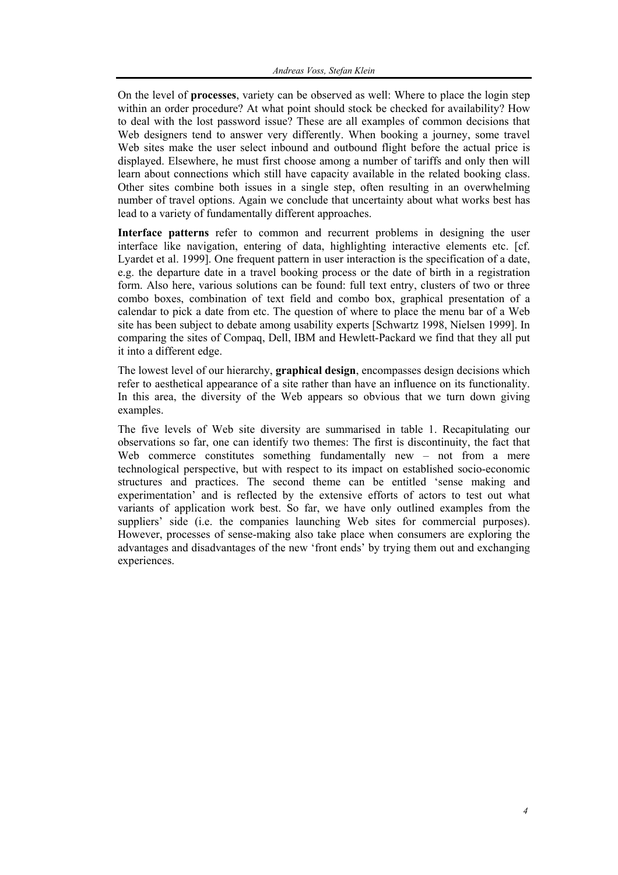On the level of **processes**, variety can be observed as well: Where to place the login step within an order procedure? At what point should stock be checked for availability? How to deal with the lost password issue? These are all examples of common decisions that Web designers tend to answer very differently. When booking a journey, some travel Web sites make the user select inbound and outbound flight before the actual price is displayed. Elsewhere, he must first choose among a number of tariffs and only then will learn about connections which still have capacity available in the related booking class. Other sites combine both issues in a single step, often resulting in an overwhelming number of travel options. Again we conclude that uncertainty about what works best has lead to a variety of fundamentally different approaches.

**Interface patterns** refer to common and recurrent problems in designing the user interface like navigation, entering of data, highlighting interactive elements etc. [cf. Lyardet et al. 1999]. One frequent pattern in user interaction is the specification of a date, e.g. the departure date in a travel booking process or the date of birth in a registration form. Also here, various solutions can be found: full text entry, clusters of two or three combo boxes, combination of text field and combo box, graphical presentation of a calendar to pick a date from etc. The question of where to place the menu bar of a Web site has been subject to debate among usability experts [Schwartz 1998, Nielsen 1999]. In comparing the sites of Compaq, Dell, IBM and Hewlett-Packard we find that they all put it into a different edge.

The lowest level of our hierarchy, **graphical design**, encompasses design decisions which refer to aesthetical appearance of a site rather than have an influence on its functionality. In this area, the diversity of the Web appears so obvious that we turn down giving examples.

The five levels of Web site diversity are summarised in table 1. Recapitulating our observations so far, one can identify two themes: The first is discontinuity, the fact that Web commerce constitutes something fundamentally new – not from a mere technological perspective, but with respect to its impact on established socio-economic structures and practices. The second theme can be entitled 'sense making and experimentation' and is reflected by the extensive efforts of actors to test out what variants of application work best. So far, we have only outlined examples from the suppliers' side (i.e. the companies launching Web sites for commercial purposes). However, processes of sense-making also take place when consumers are exploring the advantages and disadvantages of the new 'front ends' by trying them out and exchanging experiences.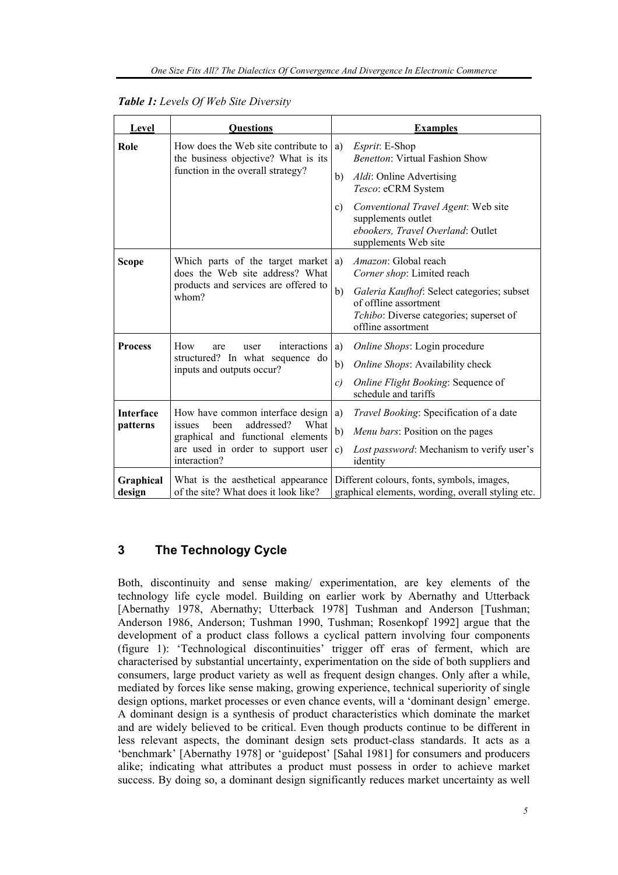| Level                        | <b>Ouestions</b>                                                                                                                                                   | <b>Examples</b>                                                                                                                            |  |
|------------------------------|--------------------------------------------------------------------------------------------------------------------------------------------------------------------|--------------------------------------------------------------------------------------------------------------------------------------------|--|
| Role                         | How does the Web site contribute to<br>the business objective? What is its<br>function in the overall strategy?                                                    | a)<br><i>Esprit</i> : E-Shop<br><b>Benetton:</b> Virtual Fashion Show                                                                      |  |
|                              |                                                                                                                                                                    | Aldi: Online Advertising<br>b)<br>Tesco: eCRM System                                                                                       |  |
|                              |                                                                                                                                                                    | Conventional Travel Agent: Web site<br>c)<br>supplements outlet<br>ebookers, Travel Overland: Outlet<br>supplements Web site               |  |
| <b>Scope</b>                 | Which parts of the target market<br>does the Web site address? What<br>products and services are offered to<br>whom?                                               | <i>Amazon</i> : Global reach<br>a)<br>Corner shop: Limited reach                                                                           |  |
|                              |                                                                                                                                                                    | b)<br>Galeria Kaufhof: Select categories; subset<br>of offline assortment<br>Tchibo: Diverse categories; superset of<br>offline assortment |  |
| <b>Process</b>               | interactions<br>How<br>are<br>user<br>structured? In what sequence do<br>inputs and outputs occur?                                                                 | Online Shops: Login procedure<br>a)                                                                                                        |  |
|                              |                                                                                                                                                                    | b)<br>Online Shops: Availability check                                                                                                     |  |
|                              |                                                                                                                                                                    | Online Flight Booking: Sequence of<br>c)<br>schedule and tariffs                                                                           |  |
| <b>Interface</b><br>patterns | How have common interface design<br>addressed?<br>been<br>What<br>issues<br>graphical and functional elements<br>are used in order to support user<br>interaction? | Travel Booking: Specification of a date<br>a)                                                                                              |  |
|                              |                                                                                                                                                                    | b)<br>Menu bars: Position on the pages                                                                                                     |  |
|                              |                                                                                                                                                                    | Lost password: Mechanism to verify user's<br>c)<br>identity                                                                                |  |
| Graphical<br>design          | What is the aesthetical appearance<br>of the site? What does it look like?                                                                                         | Different colours, fonts, symbols, images,<br>graphical elements, wording, overall styling etc.                                            |  |

| <b>Table 1:</b> Levels Of Web Site Diversity |  |  |
|----------------------------------------------|--|--|
|----------------------------------------------|--|--|

## **3 The Technology Cycle**

Both, discontinuity and sense making/ experimentation, are key elements of the technology life cycle model. Building on earlier work by Abernathy and Utterback [Abernathy 1978, Abernathy; Utterback 1978] Tushman and Anderson [Tushman; Anderson 1986, Anderson; Tushman 1990, Tushman; Rosenkopf 1992] argue that the development of a product class follows a cyclical pattern involving four components (figure 1): 'Technological discontinuities' trigger off eras of ferment, which are characterised by substantial uncertainty, experimentation on the side of both suppliers and consumers, large product variety as well as frequent design changes. Only after a while, mediated by forces like sense making, growing experience, technical superiority of single design options, market processes or even chance events, will a 'dominant design' emerge. A dominant design is a synthesis of product characteristics which dominate the market and are widely believed to be critical. Even though products continue to be different in less relevant aspects, the dominant design sets product-class standards. It acts as a 'benchmark' [Abernathy 1978] or 'guidepost' [Sahal 1981] for consumers and producers alike; indicating what attributes a product must possess in order to achieve market success. By doing so, a dominant design significantly reduces market uncertainty as well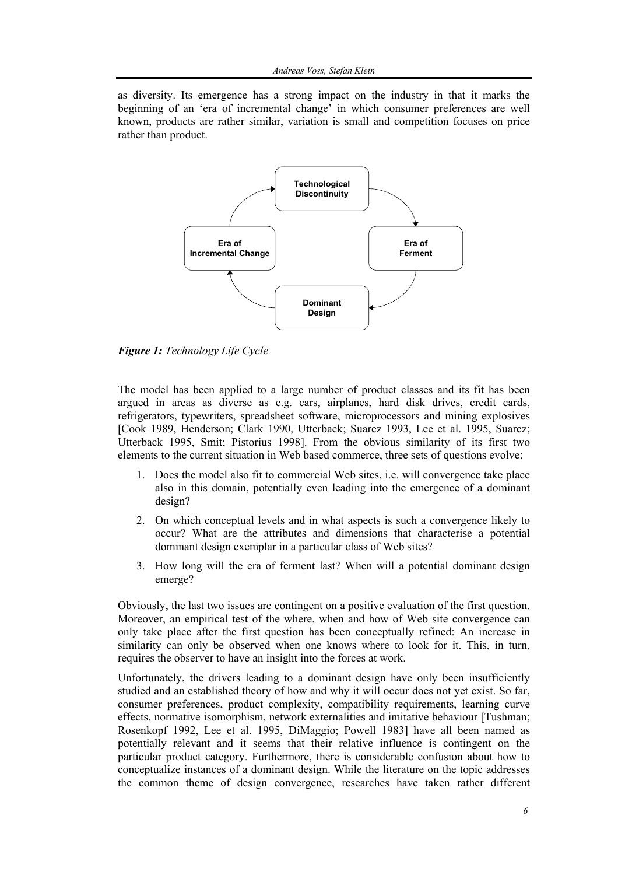as diversity. Its emergence has a strong impact on the industry in that it marks the beginning of an 'era of incremental change' in which consumer preferences are well known, products are rather similar, variation is small and competition focuses on price rather than product.



*Figure 1: Technology Life Cycle* 

The model has been applied to a large number of product classes and its fit has been argued in areas as diverse as e.g. cars, airplanes, hard disk drives, credit cards, refrigerators, typewriters, spreadsheet software, microprocessors and mining explosives [Cook 1989, Henderson; Clark 1990, Utterback; Suarez 1993, Lee et al. 1995, Suarez; Utterback 1995, Smit; Pistorius 1998]. From the obvious similarity of its first two elements to the current situation in Web based commerce, three sets of questions evolve:

- 1. Does the model also fit to commercial Web sites, i.e. will convergence take place also in this domain, potentially even leading into the emergence of a dominant design?
- 2. On which conceptual levels and in what aspects is such a convergence likely to occur? What are the attributes and dimensions that characterise a potential dominant design exemplar in a particular class of Web sites?
- 3. How long will the era of ferment last? When will a potential dominant design emerge?

Obviously, the last two issues are contingent on a positive evaluation of the first question. Moreover, an empirical test of the where, when and how of Web site convergence can only take place after the first question has been conceptually refined: An increase in similarity can only be observed when one knows where to look for it. This, in turn, requires the observer to have an insight into the forces at work.

Unfortunately, the drivers leading to a dominant design have only been insufficiently studied and an established theory of how and why it will occur does not yet exist. So far, consumer preferences, product complexity, compatibility requirements, learning curve effects, normative isomorphism, network externalities and imitative behaviour [Tushman; Rosenkopf 1992, Lee et al. 1995, DiMaggio; Powell 1983] have all been named as potentially relevant and it seems that their relative influence is contingent on the particular product category. Furthermore, there is considerable confusion about how to conceptualize instances of a dominant design. While the literature on the topic addresses the common theme of design convergence, researches have taken rather different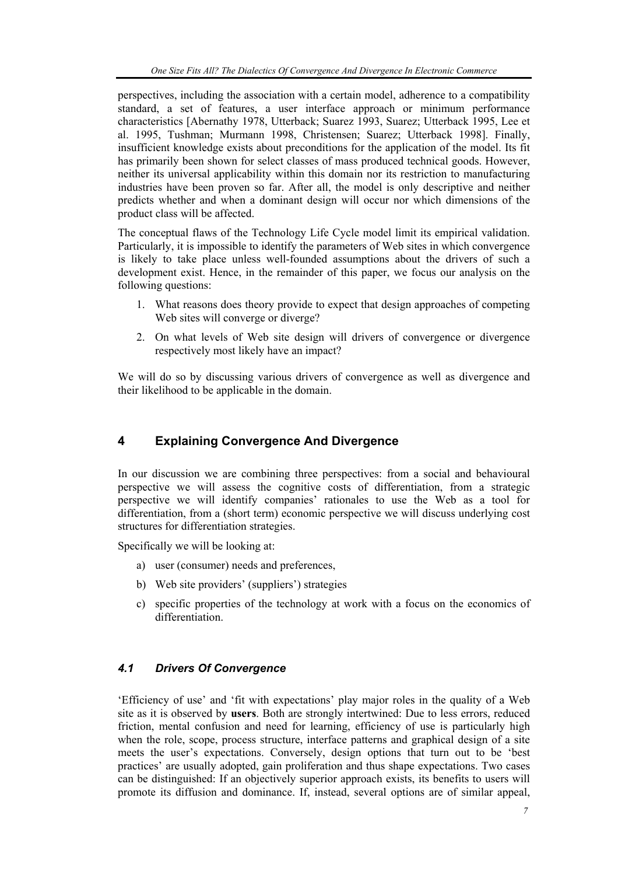perspectives, including the association with a certain model, adherence to a compatibility standard, a set of features, a user interface approach or minimum performance characteristics [Abernathy 1978, Utterback; Suarez 1993, Suarez; Utterback 1995, Lee et al. 1995, Tushman; Murmann 1998, Christensen; Suarez; Utterback 1998]. Finally, insufficient knowledge exists about preconditions for the application of the model. Its fit has primarily been shown for select classes of mass produced technical goods. However, neither its universal applicability within this domain nor its restriction to manufacturing industries have been proven so far. After all, the model is only descriptive and neither predicts whether and when a dominant design will occur nor which dimensions of the product class will be affected.

The conceptual flaws of the Technology Life Cycle model limit its empirical validation. Particularly, it is impossible to identify the parameters of Web sites in which convergence is likely to take place unless well-founded assumptions about the drivers of such a development exist. Hence, in the remainder of this paper, we focus our analysis on the following questions:

- 1. What reasons does theory provide to expect that design approaches of competing Web sites will converge or diverge?
- 2. On what levels of Web site design will drivers of convergence or divergence respectively most likely have an impact?

We will do so by discussing various drivers of convergence as well as divergence and their likelihood to be applicable in the domain.

# **4 Explaining Convergence And Divergence**

In our discussion we are combining three perspectives: from a social and behavioural perspective we will assess the cognitive costs of differentiation, from a strategic perspective we will identify companies' rationales to use the Web as a tool for differentiation, from a (short term) economic perspective we will discuss underlying cost structures for differentiation strategies.

Specifically we will be looking at:

- a) user (consumer) needs and preferences,
- b) Web site providers' (suppliers') strategies
- c) specific properties of the technology at work with a focus on the economics of differentiation.

### *4.1 Drivers Of Convergence*

'Efficiency of use' and 'fit with expectations' play major roles in the quality of a Web site as it is observed by **users**. Both are strongly intertwined: Due to less errors, reduced friction, mental confusion and need for learning, efficiency of use is particularly high when the role, scope, process structure, interface patterns and graphical design of a site meets the user's expectations. Conversely, design options that turn out to be 'best practices' are usually adopted, gain proliferation and thus shape expectations. Two cases can be distinguished: If an objectively superior approach exists, its benefits to users will promote its diffusion and dominance. If, instead, several options are of similar appeal,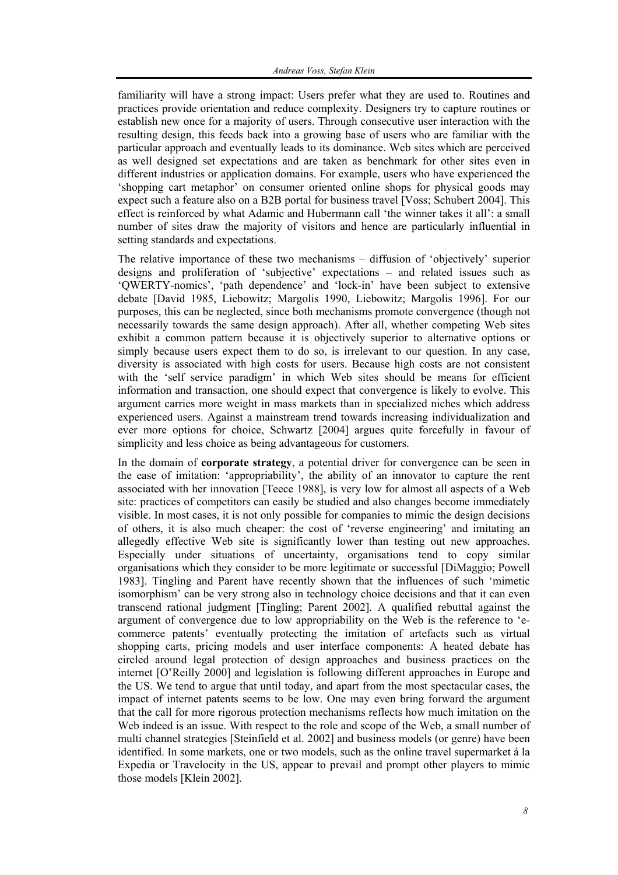familiarity will have a strong impact: Users prefer what they are used to. Routines and practices provide orientation and reduce complexity. Designers try to capture routines or establish new once for a majority of users. Through consecutive user interaction with the resulting design, this feeds back into a growing base of users who are familiar with the particular approach and eventually leads to its dominance. Web sites which are perceived as well designed set expectations and are taken as benchmark for other sites even in different industries or application domains. For example, users who have experienced the 'shopping cart metaphor' on consumer oriented online shops for physical goods may expect such a feature also on a B2B portal for business travel [Voss; Schubert 2004]. This effect is reinforced by what Adamic and Hubermann call 'the winner takes it all': a small number of sites draw the majority of visitors and hence are particularly influential in setting standards and expectations.

The relative importance of these two mechanisms – diffusion of 'objectively' superior designs and proliferation of 'subjective' expectations – and related issues such as 'QWERTY-nomics', 'path dependence' and 'lock-in' have been subject to extensive debate [David 1985, Liebowitz; Margolis 1990, Liebowitz; Margolis 1996]. For our purposes, this can be neglected, since both mechanisms promote convergence (though not necessarily towards the same design approach). After all, whether competing Web sites exhibit a common pattern because it is objectively superior to alternative options or simply because users expect them to do so, is irrelevant to our question. In any case, diversity is associated with high costs for users. Because high costs are not consistent with the 'self service paradigm' in which Web sites should be means for efficient information and transaction, one should expect that convergence is likely to evolve. This argument carries more weight in mass markets than in specialized niches which address experienced users. Against a mainstream trend towards increasing individualization and ever more options for choice, Schwartz [2004] argues quite forcefully in favour of simplicity and less choice as being advantageous for customers.

In the domain of **corporate strategy**, a potential driver for convergence can be seen in the ease of imitation: 'appropriability', the ability of an innovator to capture the rent associated with her innovation [Teece 1988], is very low for almost all aspects of a Web site: practices of competitors can easily be studied and also changes become immediately visible. In most cases, it is not only possible for companies to mimic the design decisions of others, it is also much cheaper: the cost of 'reverse engineering' and imitating an allegedly effective Web site is significantly lower than testing out new approaches. Especially under situations of uncertainty, organisations tend to copy similar organisations which they consider to be more legitimate or successful [DiMaggio; Powell 1983]. Tingling and Parent have recently shown that the influences of such 'mimetic isomorphism' can be very strong also in technology choice decisions and that it can even transcend rational judgment [Tingling; Parent 2002]. A qualified rebuttal against the argument of convergence due to low appropriability on the Web is the reference to 'ecommerce patents' eventually protecting the imitation of artefacts such as virtual shopping carts, pricing models and user interface components: A heated debate has circled around legal protection of design approaches and business practices on the internet [O'Reilly 2000] and legislation is following different approaches in Europe and the US. We tend to argue that until today, and apart from the most spectacular cases, the impact of internet patents seems to be low. One may even bring forward the argument that the call for more rigorous protection mechanisms reflects how much imitation on the Web indeed is an issue. With respect to the role and scope of the Web, a small number of multi channel strategies [Steinfield et al. 2002] and business models (or genre) have been identified. In some markets, one or two models, such as the online travel supermarket á la Expedia or Travelocity in the US, appear to prevail and prompt other players to mimic those models [Klein 2002].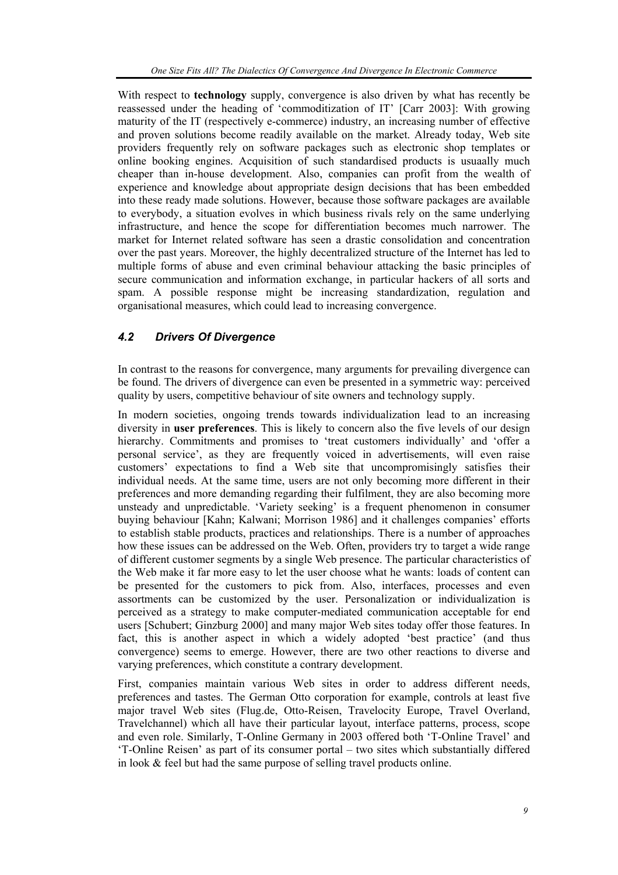With respect to **technology** supply, convergence is also driven by what has recently be reassessed under the heading of 'commoditization of IT' [Carr 2003]: With growing maturity of the IT (respectively e-commerce) industry, an increasing number of effective and proven solutions become readily available on the market. Already today, Web site providers frequently rely on software packages such as electronic shop templates or online booking engines. Acquisition of such standardised products is usuaally much cheaper than in-house development. Also, companies can profit from the wealth of experience and knowledge about appropriate design decisions that has been embedded into these ready made solutions. However, because those software packages are available to everybody, a situation evolves in which business rivals rely on the same underlying infrastructure, and hence the scope for differentiation becomes much narrower. The market for Internet related software has seen a drastic consolidation and concentration over the past years. Moreover, the highly decentralized structure of the Internet has led to multiple forms of abuse and even criminal behaviour attacking the basic principles of secure communication and information exchange, in particular hackers of all sorts and spam. A possible response might be increasing standardization, regulation and organisational measures, which could lead to increasing convergence.

## *4.2 Drivers Of Divergence*

In contrast to the reasons for convergence, many arguments for prevailing divergence can be found. The drivers of divergence can even be presented in a symmetric way: perceived quality by users, competitive behaviour of site owners and technology supply.

In modern societies, ongoing trends towards individualization lead to an increasing diversity in **user preferences**. This is likely to concern also the five levels of our design hierarchy. Commitments and promises to 'treat customers individually' and 'offer a personal service', as they are frequently voiced in advertisements, will even raise customers' expectations to find a Web site that uncompromisingly satisfies their individual needs. At the same time, users are not only becoming more different in their preferences and more demanding regarding their fulfilment, they are also becoming more unsteady and unpredictable. 'Variety seeking' is a frequent phenomenon in consumer buying behaviour [Kahn; Kalwani; Morrison 1986] and it challenges companies' efforts to establish stable products, practices and relationships. There is a number of approaches how these issues can be addressed on the Web. Often, providers try to target a wide range of different customer segments by a single Web presence. The particular characteristics of the Web make it far more easy to let the user choose what he wants: loads of content can be presented for the customers to pick from. Also, interfaces, processes and even assortments can be customized by the user. Personalization or individualization is perceived as a strategy to make computer-mediated communication acceptable for end users [Schubert; Ginzburg 2000] and many major Web sites today offer those features. In fact, this is another aspect in which a widely adopted 'best practice' (and thus convergence) seems to emerge. However, there are two other reactions to diverse and varying preferences, which constitute a contrary development.

First, companies maintain various Web sites in order to address different needs, preferences and tastes. The German Otto corporation for example, controls at least five major travel Web sites (Flug.de, Otto-Reisen, Travelocity Europe, Travel Overland, Travelchannel) which all have their particular layout, interface patterns, process, scope and even role. Similarly, T-Online Germany in 2003 offered both 'T-Online Travel' and 'T-Online Reisen' as part of its consumer portal – two sites which substantially differed in look & feel but had the same purpose of selling travel products online.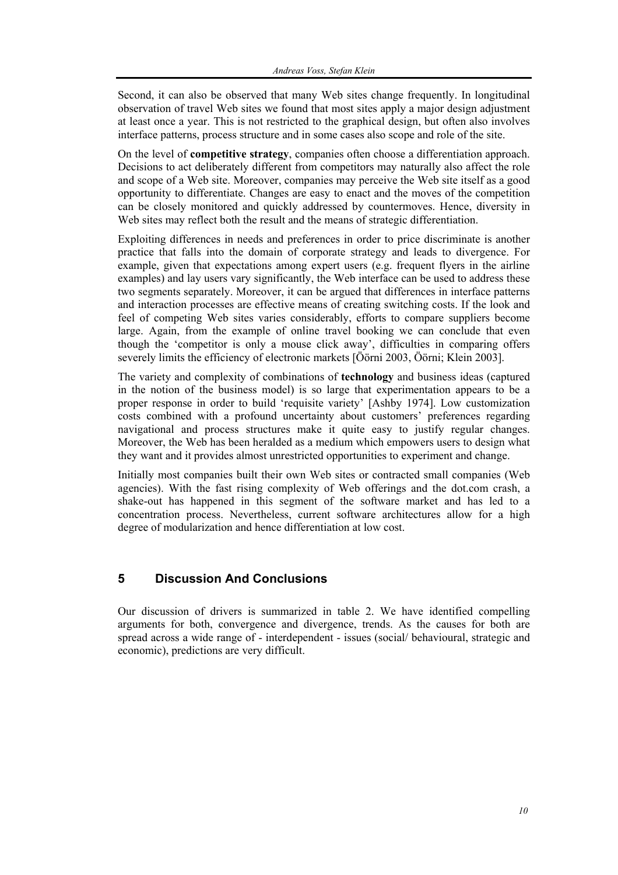Second, it can also be observed that many Web sites change frequently. In longitudinal observation of travel Web sites we found that most sites apply a major design adjustment at least once a year. This is not restricted to the graphical design, but often also involves interface patterns, process structure and in some cases also scope and role of the site.

On the level of **competitive strategy**, companies often choose a differentiation approach. Decisions to act deliberately different from competitors may naturally also affect the role and scope of a Web site. Moreover, companies may perceive the Web site itself as a good opportunity to differentiate. Changes are easy to enact and the moves of the competition can be closely monitored and quickly addressed by countermoves. Hence, diversity in Web sites may reflect both the result and the means of strategic differentiation.

Exploiting differences in needs and preferences in order to price discriminate is another practice that falls into the domain of corporate strategy and leads to divergence. For example, given that expectations among expert users (e.g. frequent flyers in the airline examples) and lay users vary significantly, the Web interface can be used to address these two segments separately. Moreover, it can be argued that differences in interface patterns and interaction processes are effective means of creating switching costs. If the look and feel of competing Web sites varies considerably, efforts to compare suppliers become large. Again, from the example of online travel booking we can conclude that even though the 'competitor is only a mouse click away', difficulties in comparing offers severely limits the efficiency of electronic markets [Öörni 2003, Öörni; Klein 2003].

The variety and complexity of combinations of **technology** and business ideas (captured in the notion of the business model) is so large that experimentation appears to be a proper response in order to build 'requisite variety' [Ashby 1974]. Low customization costs combined with a profound uncertainty about customers' preferences regarding navigational and process structures make it quite easy to justify regular changes. Moreover, the Web has been heralded as a medium which empowers users to design what they want and it provides almost unrestricted opportunities to experiment and change.

Initially most companies built their own Web sites or contracted small companies (Web agencies). With the fast rising complexity of Web offerings and the dot.com crash, a shake-out has happened in this segment of the software market and has led to a concentration process. Nevertheless, current software architectures allow for a high degree of modularization and hence differentiation at low cost.

# **5 Discussion And Conclusions**

Our discussion of drivers is summarized in table 2. We have identified compelling arguments for both, convergence and divergence, trends. As the causes for both are spread across a wide range of - interdependent - issues (social/ behavioural, strategic and economic), predictions are very difficult.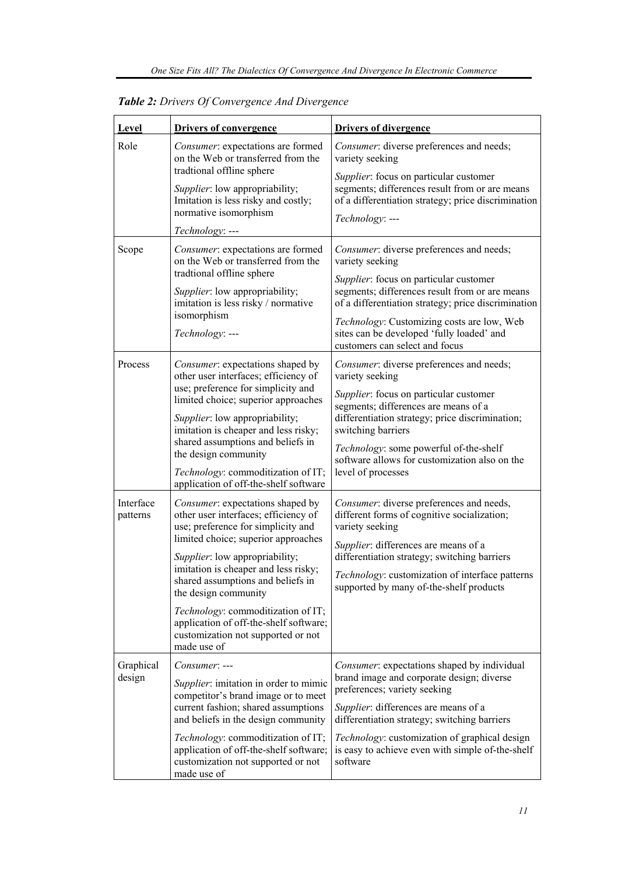| Level                 | <b>Drivers of convergence</b>                                                                                                                                                                                                                                                                                                                                                                                                            | <b>Drivers of divergence</b>                                                                                                                                                                                                                                                                                                                |
|-----------------------|------------------------------------------------------------------------------------------------------------------------------------------------------------------------------------------------------------------------------------------------------------------------------------------------------------------------------------------------------------------------------------------------------------------------------------------|---------------------------------------------------------------------------------------------------------------------------------------------------------------------------------------------------------------------------------------------------------------------------------------------------------------------------------------------|
| Role                  | <i>Consumer:</i> expectations are formed<br>on the Web or transferred from the<br>tradtional offline sphere<br>Supplier: low appropriability;<br>Imitation is less risky and costly;<br>normative isomorphism                                                                                                                                                                                                                            | Consumer: diverse preferences and needs;<br>variety seeking<br>Supplier: focus on particular customer<br>segments; differences result from or are means<br>of a differentiation strategy; price discrimination<br>Technology: ---                                                                                                           |
| Scope                 | Technology: ---<br>Consumer: expectations are formed<br>on the Web or transferred from the<br>tradtional offline sphere<br>Supplier: low appropriability;<br>imitation is less risky / normative<br>isomorphism<br>Technology: ---                                                                                                                                                                                                       | Consumer: diverse preferences and needs;<br>variety seeking<br>Supplier: focus on particular customer<br>segments; differences result from or are means<br>of a differentiation strategy; price discrimination<br>Technology: Customizing costs are low, Web<br>sites can be developed 'fully loaded' and<br>customers can select and focus |
| Process               | Consumer: expectations shaped by<br>other user interfaces; efficiency of<br>use; preference for simplicity and<br>limited choice; superior approaches<br>Supplier: low appropriability;<br>imitation is cheaper and less risky;<br>shared assumptions and beliefs in<br>the design community<br>Technology: commoditization of IT;<br>application of off-the-shelf software                                                              | Consumer: diverse preferences and needs;<br>variety seeking<br>Supplier: focus on particular customer<br>segments; differences are means of a<br>differentiation strategy; price discrimination;<br>switching barriers<br>Technology: some powerful of-the-shelf<br>software allows for customization also on the<br>level of processes     |
| Interface<br>patterns | Consumer: expectations shaped by<br>other user interfaces; efficiency of<br>use; preference for simplicity and<br>limited choice; superior approaches<br>Supplier: low appropriability;<br>imitation is cheaper and less risky;<br>shared assumptions and beliefs in<br>the design community<br><i>Technology:</i> commoditization of IT;<br>application of off-the-shelf software;<br>customization not supported or not<br>made use of | Consumer: diverse preferences and needs,<br>different forms of cognitive socialization;<br>variety seeking<br>Supplier: differences are means of a<br>differentiation strategy; switching barriers<br>Technology: customization of interface patterns<br>supported by many of-the-shelf products                                            |
| Graphical<br>design   | Consumer: ---<br>Supplier: imitation in order to mimic<br>competitor's brand image or to meet<br>current fashion; shared assumptions<br>and beliefs in the design community<br>Technology: commoditization of IT;<br>application of off-the-shelf software;<br>customization not supported or not<br>made use of                                                                                                                         | Consumer: expectations shaped by individual<br>brand image and corporate design; diverse<br>preferences; variety seeking<br>Supplier: differences are means of a<br>differentiation strategy; switching barriers<br>Technology: customization of graphical design<br>is easy to achieve even with simple of-the-shelf<br>software           |

*Table 2: Drivers Of Convergence And Divergence*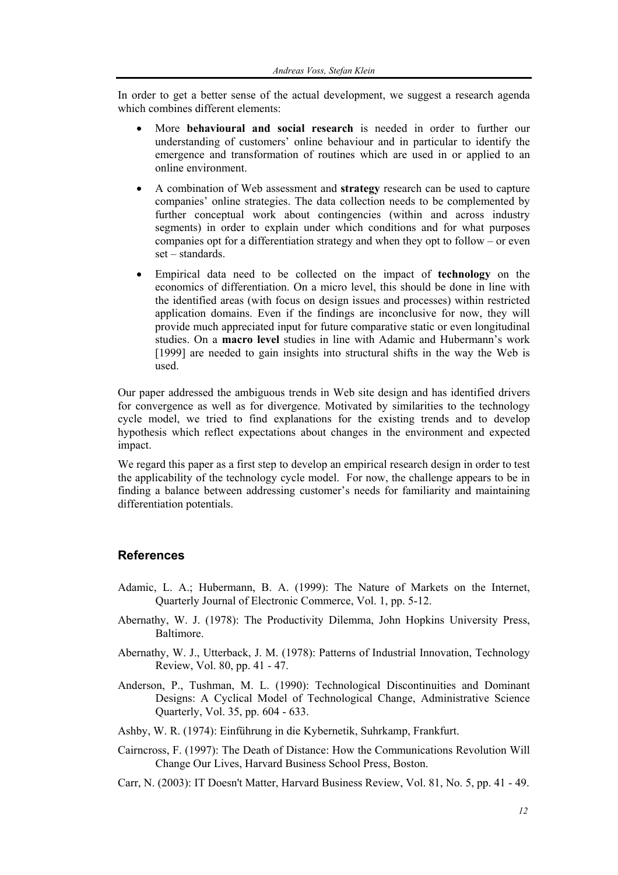In order to get a better sense of the actual development, we suggest a research agenda which combines different elements:

- More **behavioural and social research** is needed in order to further our understanding of customers' online behaviour and in particular to identify the emergence and transformation of routines which are used in or applied to an online environment.
- A combination of Web assessment and **strategy** research can be used to capture companies' online strategies. The data collection needs to be complemented by further conceptual work about contingencies (within and across industry segments) in order to explain under which conditions and for what purposes companies opt for a differentiation strategy and when they opt to follow – or even set – standards.
- Empirical data need to be collected on the impact of **technology** on the economics of differentiation. On a micro level, this should be done in line with the identified areas (with focus on design issues and processes) within restricted application domains. Even if the findings are inconclusive for now, they will provide much appreciated input for future comparative static or even longitudinal studies. On a **macro level** studies in line with Adamic and Hubermann's work [1999] are needed to gain insights into structural shifts in the way the Web is used.

Our paper addressed the ambiguous trends in Web site design and has identified drivers for convergence as well as for divergence. Motivated by similarities to the technology cycle model, we tried to find explanations for the existing trends and to develop hypothesis which reflect expectations about changes in the environment and expected impact.

We regard this paper as a first step to develop an empirical research design in order to test the applicability of the technology cycle model. For now, the challenge appears to be in finding a balance between addressing customer's needs for familiarity and maintaining differentiation potentials.

### **References**

- Adamic, L. A.; Hubermann, B. A. (1999): The Nature of Markets on the Internet, Quarterly Journal of Electronic Commerce, Vol. 1, pp. 5-12.
- Abernathy, W. J. (1978): The Productivity Dilemma, John Hopkins University Press, Baltimore.
- Abernathy, W. J., Utterback, J. M. (1978): Patterns of Industrial Innovation, Technology Review, Vol. 80, pp. 41 - 47.
- Anderson, P., Tushman, M. L. (1990): Technological Discontinuities and Dominant Designs: A Cyclical Model of Technological Change, Administrative Science Quarterly, Vol. 35, pp. 604 - 633.
- Ashby, W. R. (1974): Einführung in die Kybernetik, Suhrkamp, Frankfurt.
- Cairncross, F. (1997): The Death of Distance: How the Communications Revolution Will Change Our Lives, Harvard Business School Press, Boston.
- Carr, N. (2003): IT Doesn't Matter, Harvard Business Review, Vol. 81, No. 5, pp. 41 49.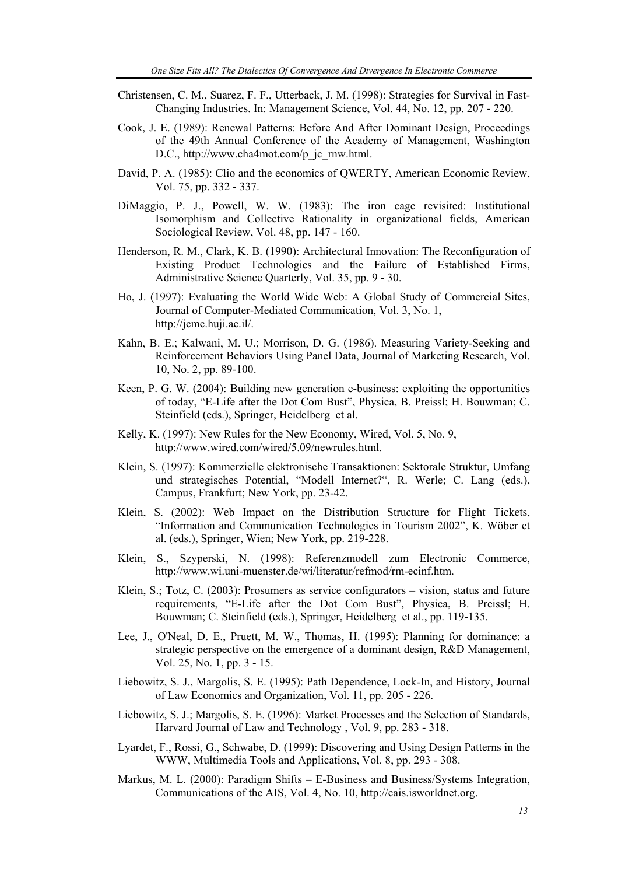- Christensen, C. M., Suarez, F. F., Utterback, J. M. (1998): Strategies for Survival in Fast-Changing Industries. In: Management Science, Vol. 44, No. 12, pp. 207 - 220.
- Cook, J. E. (1989): Renewal Patterns: Before And After Dominant Design, Proceedings of the 49th Annual Conference of the Academy of Management, Washington D.C., http://www.cha4mot.com/p\_jc\_rnw.html.
- David, P. A. (1985): Clio and the economics of QWERTY, American Economic Review, Vol. 75, pp. 332 - 337.
- DiMaggio, P. J., Powell, W. W. (1983): The iron cage revisited: Institutional Isomorphism and Collective Rationality in organizational fields, American Sociological Review, Vol. 48, pp. 147 - 160.
- Henderson, R. M., Clark, K. B. (1990): Architectural Innovation: The Reconfiguration of Existing Product Technologies and the Failure of Established Firms, Administrative Science Quarterly, Vol. 35, pp. 9 - 30.
- Ho, J. (1997): Evaluating the World Wide Web: A Global Study of Commercial Sites, Journal of Computer-Mediated Communication, Vol. 3, No. 1, http://jcmc.huji.ac.il/.
- Kahn, B. E.; Kalwani, M. U.; Morrison, D. G. (1986). Measuring Variety-Seeking and Reinforcement Behaviors Using Panel Data, Journal of Marketing Research, Vol. 10, No. 2, pp. 89-100.
- Keen, P. G. W. (2004): Building new generation e-business: exploiting the opportunities of today, "E-Life after the Dot Com Bust", Physica, B. Preissl; H. Bouwman; C. Steinfield (eds.), Springer, Heidelberg et al.
- Kelly, K. (1997): New Rules for the New Economy, Wired, Vol. 5, No. 9, http://www.wired.com/wired/5.09/newrules.html.
- Klein, S. (1997): Kommerzielle elektronische Transaktionen: Sektorale Struktur, Umfang und strategisches Potential, "Modell Internet?", R. Werle; C. Lang (eds.), Campus, Frankfurt; New York, pp. 23-42.
- Klein, S. (2002): Web Impact on the Distribution Structure for Flight Tickets, "Information and Communication Technologies in Tourism 2002", K. Wöber et al. (eds.), Springer, Wien; New York, pp. 219-228.
- Klein, S., Szyperski, N. (1998): Referenzmodell zum Electronic Commerce, http://www.wi.uni-muenster.de/wi/literatur/refmod/rm-ecinf.htm.
- Klein, S.; Totz, C. (2003): Prosumers as service configurators vision, status and future requirements, "E-Life after the Dot Com Bust", Physica, B. Preissl; H. Bouwman; C. Steinfield (eds.), Springer, Heidelberg et al., pp. 119-135.
- Lee, J., O'Neal, D. E., Pruett, M. W., Thomas, H. (1995): Planning for dominance: a strategic perspective on the emergence of a dominant design, R&D Management, Vol. 25, No. 1, pp. 3 - 15.
- Liebowitz, S. J., Margolis, S. E. (1995): Path Dependence, Lock-In, and History, Journal of Law Economics and Organization, Vol. 11, pp. 205 - 226.
- Liebowitz, S. J.; Margolis, S. E. (1996): Market Processes and the Selection of Standards, Harvard Journal of Law and Technology , Vol. 9, pp. 283 - 318.
- Lyardet, F., Rossi, G., Schwabe, D. (1999): Discovering and Using Design Patterns in the WWW, Multimedia Tools and Applications, Vol. 8, pp. 293 - 308.
- Markus, M. L. (2000): Paradigm Shifts E-Business and Business/Systems Integration, Communications of the AIS, Vol. 4, No. 10, http://cais.isworldnet.org.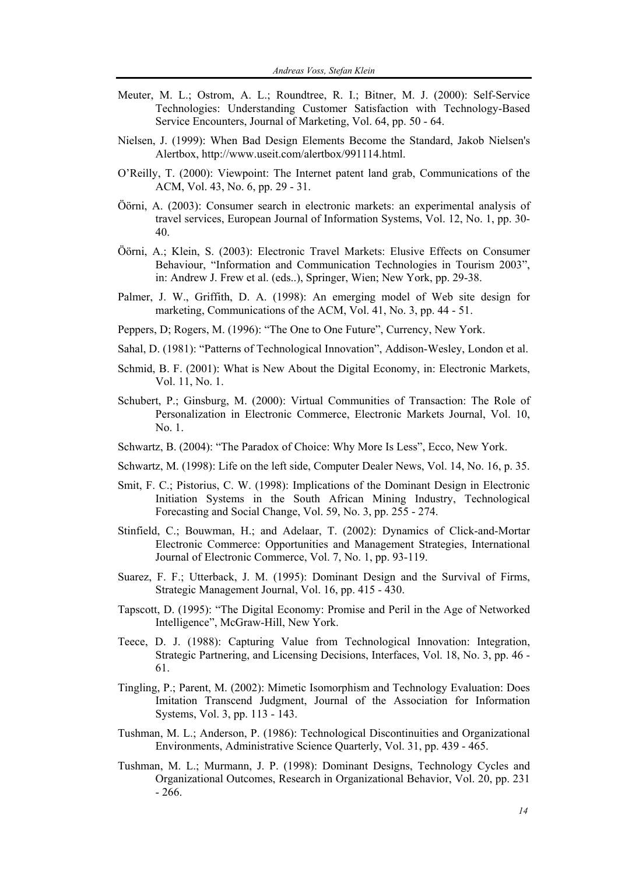- Meuter, M. L.; Ostrom, A. L.; Roundtree, R. I.; Bitner, M. J. (2000): Self-Service Technologies: Understanding Customer Satisfaction with Technology-Based Service Encounters, Journal of Marketing, Vol. 64, pp. 50 - 64.
- Nielsen, J. (1999): When Bad Design Elements Become the Standard, Jakob Nielsen's Alertbox, http://www.useit.com/alertbox/991114.html.
- O'Reilly, T. (2000): Viewpoint: The Internet patent land grab, Communications of the ACM, Vol. 43, No. 6, pp. 29 - 31.
- Öörni, A. (2003): Consumer search in electronic markets: an experimental analysis of travel services, European Journal of Information Systems, Vol. 12, No. 1, pp. 30- 40.
- Öörni, A.; Klein, S. (2003): Electronic Travel Markets: Elusive Effects on Consumer Behaviour, "Information and Communication Technologies in Tourism 2003", in: Andrew J. Frew et al. (eds..), Springer, Wien; New York, pp. 29-38.
- Palmer, J. W., Griffith, D. A. (1998): An emerging model of Web site design for marketing, Communications of the ACM, Vol. 41, No. 3, pp. 44 - 51.
- Peppers, D; Rogers, M. (1996): "The One to One Future", Currency, New York.
- Sahal, D. (1981): "Patterns of Technological Innovation", Addison-Wesley, London et al.
- Schmid, B. F. (2001): What is New About the Digital Economy, in: Electronic Markets, Vol. 11, No. 1.
- Schubert, P.; Ginsburg, M. (2000): Virtual Communities of Transaction: The Role of Personalization in Electronic Commerce, Electronic Markets Journal, Vol. 10, No. 1.
- Schwartz, B. (2004): "The Paradox of Choice: Why More Is Less", Ecco, New York.
- Schwartz, M. (1998): Life on the left side, Computer Dealer News, Vol. 14, No. 16, p. 35.
- Smit, F. C.; Pistorius, C. W. (1998): Implications of the Dominant Design in Electronic Initiation Systems in the South African Mining Industry, Technological Forecasting and Social Change, Vol. 59, No. 3, pp. 255 - 274.
- Stinfield, C.; Bouwman, H.; and Adelaar, T. (2002): Dynamics of Click-and-Mortar Electronic Commerce: Opportunities and Management Strategies, International Journal of Electronic Commerce, Vol. 7, No. 1, pp. 93-119.
- Suarez, F. F.; Utterback, J. M. (1995): Dominant Design and the Survival of Firms, Strategic Management Journal, Vol. 16, pp. 415 - 430.
- Tapscott, D. (1995): "The Digital Economy: Promise and Peril in the Age of Networked Intelligence", McGraw-Hill, New York.
- Teece, D. J. (1988): Capturing Value from Technological Innovation: Integration, Strategic Partnering, and Licensing Decisions, Interfaces, Vol. 18, No. 3, pp. 46 - 61.
- Tingling, P.; Parent, M. (2002): Mimetic Isomorphism and Technology Evaluation: Does Imitation Transcend Judgment, Journal of the Association for Information Systems, Vol. 3, pp. 113 - 143.
- Tushman, M. L.; Anderson, P. (1986): Technological Discontinuities and Organizational Environments, Administrative Science Quarterly, Vol. 31, pp. 439 - 465.
- Tushman, M. L.; Murmann, J. P. (1998): Dominant Designs, Technology Cycles and Organizational Outcomes, Research in Organizational Behavior, Vol. 20, pp. 231 - 266.